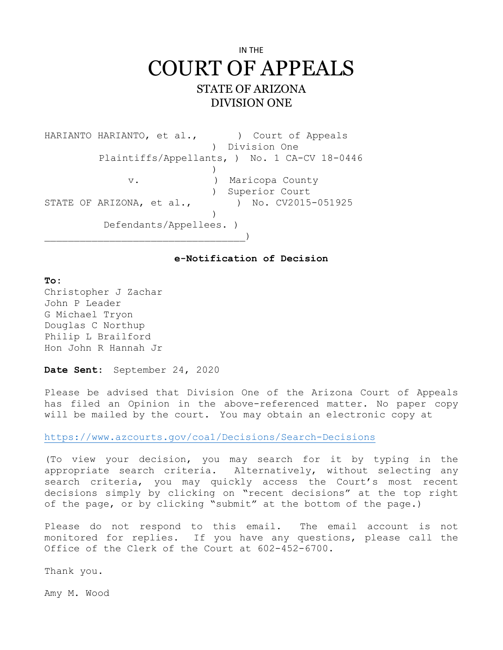## IN THE COURT OF APPEALS STATE OF ARIZONA DIVISION ONE

HARIANTO HARIANTO, et al.,  $\qquad$  ) Court of Appeals ) Division One Plaintiffs/Appellants, ) No. 1 CA-CV 18-0446  $)$  v. ) Maricopa County ) Superior Court STATE OF ARIZONA, et al., ) No. CV2015-051925  $)$  Defendants/Appellees. )  $)$ 

## **e-Notification of Decision**

## **To:**

Christopher J Zachar John P Leader G Michael Tryon Douglas C Northup Philip L Brailford Hon John R Hannah Jr

**Date Sent:** September 24, 2020

Please be advised that Division One of the Arizona Court of Appeals has filed an Opinion in the above-referenced matter. No paper copy will be mailed by the court. You may obtain an electronic copy at

https://www.azcourts.gov/coa1/Decisions/Search-Decisions

(To view your decision, you may search for it by typing in the appropriate search criteria. Alternatively, without selecting any search criteria, you may quickly access the Court's most recent decisions simply by clicking on "recent decisions" at the top right of the page, or by clicking "submit" at the bottom of the page.)

Please do not respond to this email. The email account is not monitored for replies. If you have any questions, please call the Office of the Clerk of the Court at 602-452-6700.

Thank you.

Amy M. Wood